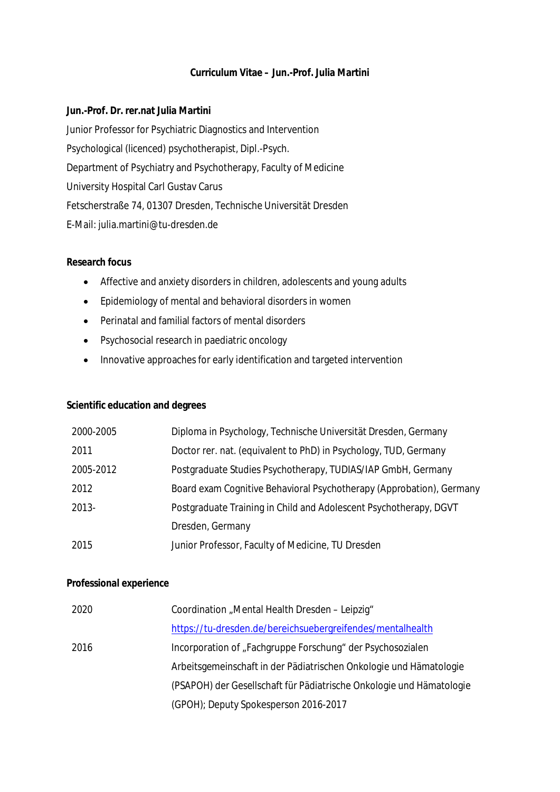# **Curriculum Vitae – Jun.-Prof. Julia Martini**

**Jun.-Prof. Dr. rer.nat Julia Martini** Junior Professor for Psychiatric Diagnostics and Intervention Psychological (licenced) psychotherapist, Dipl.-Psych. Department of Psychiatry and Psychotherapy, Faculty of Medicine University Hospital Carl Gustav Carus Fetscherstraße 74, 01307 Dresden, Technische Universität Dresden E-Mail: julia.martini@tu-dresden.de

# **Research focus**

- Affective and anxiety disorders in children, adolescents and young adults
- Epidemiology of mental and behavioral disorders in women
- Perinatal and familial factors of mental disorders
- Psychosocial research in paediatric oncology
- Innovative approaches for early identification and targeted intervention

# **Scientific education and degrees**

| 2000-2005 | Diploma in Psychology, Technische Universität Dresden, Germany       |
|-----------|----------------------------------------------------------------------|
| 2011      | Doctor rer. nat. (equivalent to PhD) in Psychology, TUD, Germany     |
| 2005-2012 | Postgraduate Studies Psychotherapy, TUDIAS/IAP GmbH, Germany         |
| 2012      | Board exam Cognitive Behavioral Psychotherapy (Approbation), Germany |
| 2013-     | Postgraduate Training in Child and Adolescent Psychotherapy, DGVT    |
|           | Dresden, Germany                                                     |
| 2015      | Junior Professor, Faculty of Medicine, TU Dresden                    |

#### **Professional experience**

| 2020 | Coordination "Mental Health Dresden - Leipzig"                       |
|------|----------------------------------------------------------------------|
|      | https://tu-dresden.de/bereichsuebergreifendes/mentalhealth           |
| 2016 | Incorporation of "Fachgruppe Forschung" der Psychosozialen           |
|      | Arbeitsgemeinschaft in der Pädiatrischen Onkologie und Hämatologie   |
|      | (PSAPOH) der Gesellschaft für Pädiatrische Onkologie und Hämatologie |
|      | (GPOH); Deputy Spokesperson 2016-2017                                |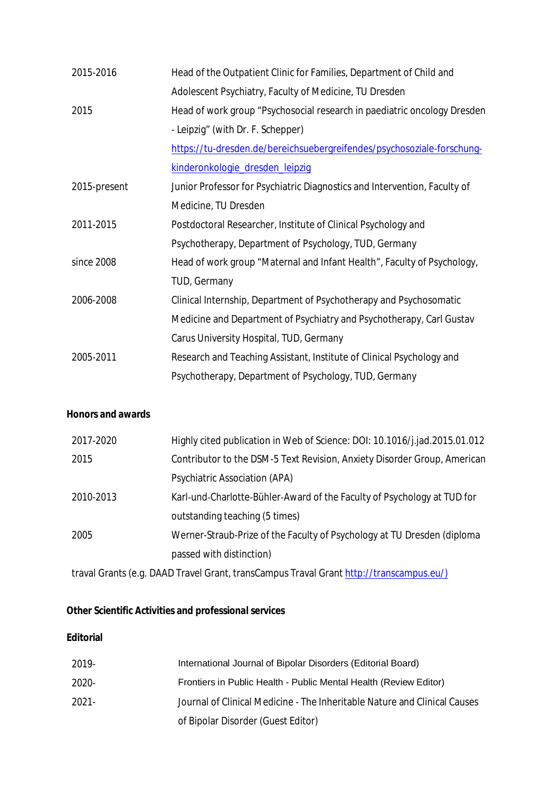| 2015-2016    | Head of the Outpatient Clinic for Families, Department of Child and       |
|--------------|---------------------------------------------------------------------------|
|              | Adolescent Psychiatry, Faculty of Medicine, TU Dresden                    |
| 2015         | Head of work group "Psychosocial research in paediatric oncology Dresden  |
|              | - Leipzig" (with Dr. F. Schepper)                                         |
|              | https://tu-dresden.de/bereichsuebergreifendes/psychosoziale-forschung-    |
|              | kinderonkologie_dresden_leipzig                                           |
| 2015-present | Junior Professor for Psychiatric Diagnostics and Intervention, Faculty of |
|              | Medicine, TU Dresden                                                      |
| 2011-2015    | Postdoctoral Researcher, Institute of Clinical Psychology and             |
|              | Psychotherapy, Department of Psychology, TUD, Germany                     |
| since 2008   | Head of work group "Maternal and Infant Health", Faculty of Psychology,   |
|              | TUD, Germany                                                              |
| 2006-2008    | Clinical Internship, Department of Psychotherapy and Psychosomatic        |
|              | Medicine and Department of Psychiatry and Psychotherapy, Carl Gustav      |
|              | Carus University Hospital, TUD, Germany                                   |
| 2005-2011    | Research and Teaching Assistant, Institute of Clinical Psychology and     |
|              | Psychotherapy, Department of Psychology, TUD, Germany                     |

# **Honors and awards**

| 2017-2020 | Highly cited publication in Web of Science: DOI: 10.1016/j.jad.2015.01.012 |
|-----------|----------------------------------------------------------------------------|
| 2015      | Contributor to the DSM-5 Text Revision, Anxiety Disorder Group, American   |
|           | Psychiatric Association (APA)                                              |
| 2010-2013 | Karl-und-Charlotte-Bühler-Award of the Faculty of Psychology at TUD for    |
|           | outstanding teaching (5 times)                                             |
| 2005      | Werner-Straub-Prize of the Faculty of Psychology at TU Dresden (diploma    |
|           | passed with distinction)                                                   |

traval Grants (e.g. DAAD Travel Grant, transCampus Traval Grant http://transcampus.eu/)

**Other Scientific Activities and professional services**

# **Editorial**

| 2019- | International Journal of Bipolar Disorders (Editorial Board)              |
|-------|---------------------------------------------------------------------------|
| 2020- | Frontiers in Public Health - Public Mental Health (Review Editor)         |
| 2021- | Journal of Clinical Medicine - The Inheritable Nature and Clinical Causes |
|       | of Bipolar Disorder (Guest Editor)                                        |